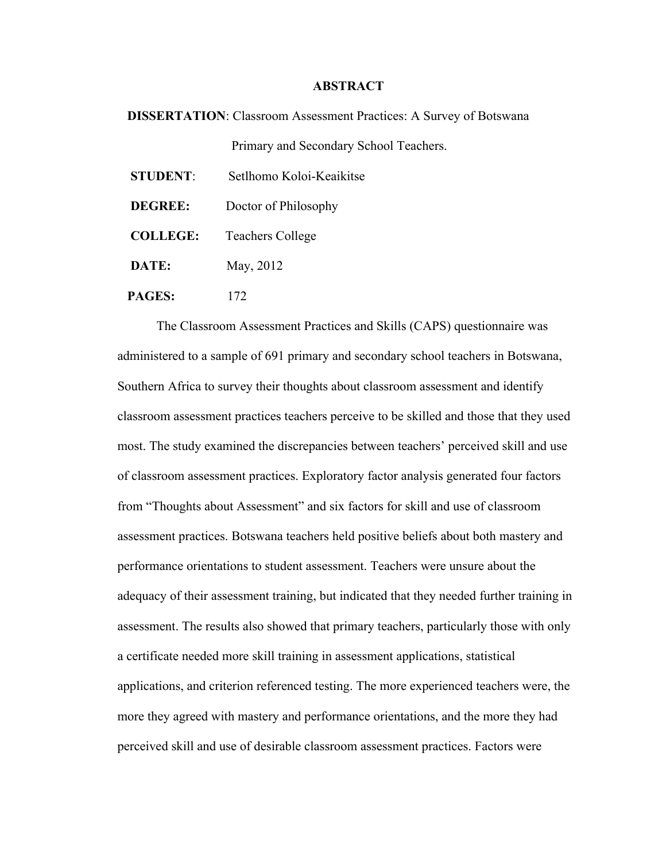## **ABSTRACT**

 **DISSERTATION**: Classroom Assessment Practices: A Survey of Botswana Primary and Secondary School Teachers.

| <b>STUDENT</b>  | Setlhomo Koloi-Keaikitse |
|-----------------|--------------------------|
| DEGREE:         | Doctor of Philosophy     |
| <b>COLLEGE:</b> | <b>Teachers College</b>  |
| DATE:           | May, 2012                |
| PAGES:          | 172                      |

The Classroom Assessment Practices and Skills (CAPS) questionnaire was administered to a sample of 691 primary and secondary school teachers in Botswana, Southern Africa to survey their thoughts about classroom assessment and identify classroom assessment practices teachers perceive to be skilled and those that they used most. The study examined the discrepancies between teachers' perceived skill and use of classroom assessment practices. Exploratory factor analysis generated four factors from "Thoughts about Assessment" and six factors for skill and use of classroom assessment practices. Botswana teachers held positive beliefs about both mastery and performance orientations to student assessment. Teachers were unsure about the adequacy of their assessment training, but indicated that they needed further training in assessment. The results also showed that primary teachers, particularly those with only a certificate needed more skill training in assessment applications, statistical applications, and criterion referenced testing. The more experienced teachers were, the more they agreed with mastery and performance orientations, and the more they had perceived skill and use of desirable classroom assessment practices. Factors were